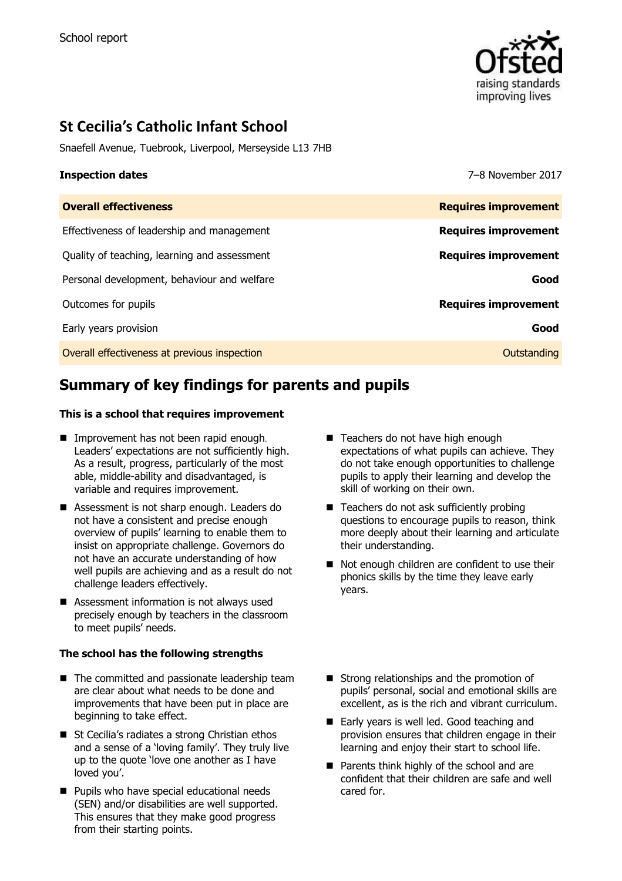

# **St Cecilia's Catholic Infant School**

Snaefell Avenue, Tuebrook, Liverpool, Merseyside L13 7HB

**Inspection dates** 7–8 November 2017

| <b>Overall effectiveness</b>                 | <b>Requires improvement</b> |
|----------------------------------------------|-----------------------------|
| Effectiveness of leadership and management   | <b>Requires improvement</b> |
| Quality of teaching, learning and assessment | <b>Requires improvement</b> |
| Personal development, behaviour and welfare  | Good                        |
| Outcomes for pupils                          | <b>Requires improvement</b> |
| Early years provision                        | Good                        |
| Overall effectiveness at previous inspection | Outstanding                 |
|                                              |                             |

# **Summary of key findings for parents and pupils**

### **This is a school that requires improvement**

- **Improvement has not been rapid enough.** Leaders' expectations are not sufficiently high. As a result, progress, particularly of the most able, middle-ability and disadvantaged, is variable and requires improvement.
- Assessment is not sharp enough. Leaders do not have a consistent and precise enough overview of pupils' learning to enable them to insist on appropriate challenge. Governors do not have an accurate understanding of how well pupils are achieving and as a result do not challenge leaders effectively.
- Assessment information is not always used precisely enough by teachers in the classroom to meet pupils' needs.

### **The school has the following strengths**

- The committed and passionate leadership team are clear about what needs to be done and improvements that have been put in place are beginning to take effect.
- St Cecilia's radiates a strong Christian ethos and a sense of a 'loving family'. They truly live up to the quote 'love one another as I have loved you'.
- **Pupils who have special educational needs** (SEN) and/or disabilities are well supported. This ensures that they make good progress from their starting points.
- Teachers do not have high enough expectations of what pupils can achieve. They do not take enough opportunities to challenge pupils to apply their learning and develop the skill of working on their own.
- Teachers do not ask sufficiently probing questions to encourage pupils to reason, think more deeply about their learning and articulate their understanding.
- Not enough children are confident to use their phonics skills by the time they leave early years.
- Strong relationships and the promotion of pupils' personal, social and emotional skills are excellent, as is the rich and vibrant curriculum.
- Early years is well led. Good teaching and provision ensures that children engage in their learning and enjoy their start to school life.
- **Parents think highly of the school and are** confident that their children are safe and well cared for.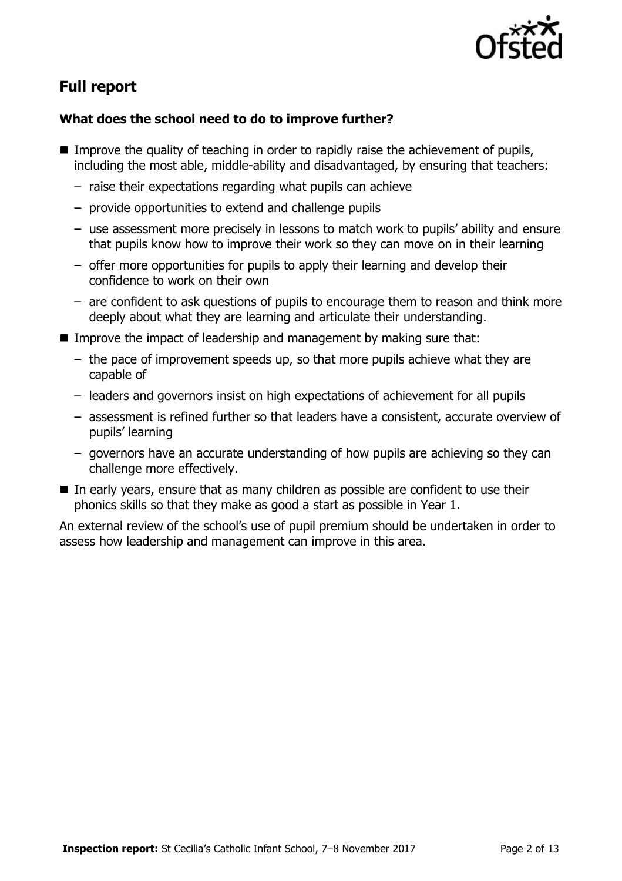

# **Full report**

# **What does the school need to do to improve further?**

- $\blacksquare$  Improve the quality of teaching in order to rapidly raise the achievement of pupils, including the most able, middle-ability and disadvantaged, by ensuring that teachers:
	- raise their expectations regarding what pupils can achieve
	- provide opportunities to extend and challenge pupils
	- use assessment more precisely in lessons to match work to pupils' ability and ensure that pupils know how to improve their work so they can move on in their learning
	- offer more opportunities for pupils to apply their learning and develop their confidence to work on their own
	- are confident to ask questions of pupils to encourage them to reason and think more deeply about what they are learning and articulate their understanding.
- Improve the impact of leadership and management by making sure that:
	- the pace of improvement speeds up, so that more pupils achieve what they are capable of
	- leaders and governors insist on high expectations of achievement for all pupils
	- assessment is refined further so that leaders have a consistent, accurate overview of pupils' learning
	- governors have an accurate understanding of how pupils are achieving so they can challenge more effectively.
- In early years, ensure that as many children as possible are confident to use their phonics skills so that they make as good a start as possible in Year 1.

An external review of the school's use of pupil premium should be undertaken in order to assess how leadership and management can improve in this area.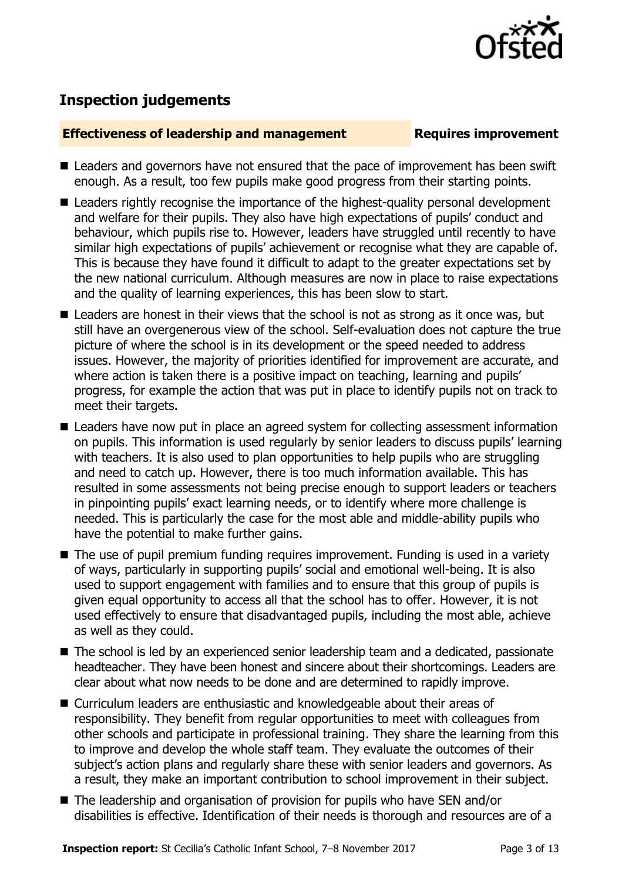

# **Inspection judgements**

## **Effectiveness of leadership and management Requires improvement**

- Leaders and governors have not ensured that the pace of improvement has been swift enough. As a result, too few pupils make good progress from their starting points.
- **E** Leaders rightly recognise the importance of the highest-quality personal development and welfare for their pupils. They also have high expectations of pupils' conduct and behaviour, which pupils rise to. However, leaders have struggled until recently to have similar high expectations of pupils' achievement or recognise what they are capable of. This is because they have found it difficult to adapt to the greater expectations set by the new national curriculum. Although measures are now in place to raise expectations and the quality of learning experiences, this has been slow to start.
- Leaders are honest in their views that the school is not as strong as it once was, but still have an overgenerous view of the school. Self-evaluation does not capture the true picture of where the school is in its development or the speed needed to address issues. However, the majority of priorities identified for improvement are accurate, and where action is taken there is a positive impact on teaching, learning and pupils' progress, for example the action that was put in place to identify pupils not on track to meet their targets.
- Leaders have now put in place an agreed system for collecting assessment information on pupils. This information is used regularly by senior leaders to discuss pupils' learning with teachers. It is also used to plan opportunities to help pupils who are struggling and need to catch up. However, there is too much information available. This has resulted in some assessments not being precise enough to support leaders or teachers in pinpointing pupils' exact learning needs, or to identify where more challenge is needed. This is particularly the case for the most able and middle-ability pupils who have the potential to make further gains.
- The use of pupil premium funding requires improvement. Funding is used in a variety of ways, particularly in supporting pupils' social and emotional well-being. It is also used to support engagement with families and to ensure that this group of pupils is given equal opportunity to access all that the school has to offer. However, it is not used effectively to ensure that disadvantaged pupils, including the most able, achieve as well as they could.
- The school is led by an experienced senior leadership team and a dedicated, passionate headteacher. They have been honest and sincere about their shortcomings. Leaders are clear about what now needs to be done and are determined to rapidly improve.
- Curriculum leaders are enthusiastic and knowledgeable about their areas of responsibility. They benefit from regular opportunities to meet with colleagues from other schools and participate in professional training. They share the learning from this to improve and develop the whole staff team. They evaluate the outcomes of their subject's action plans and regularly share these with senior leaders and governors. As a result, they make an important contribution to school improvement in their subject.
- The leadership and organisation of provision for pupils who have SEN and/or disabilities is effective. Identification of their needs is thorough and resources are of a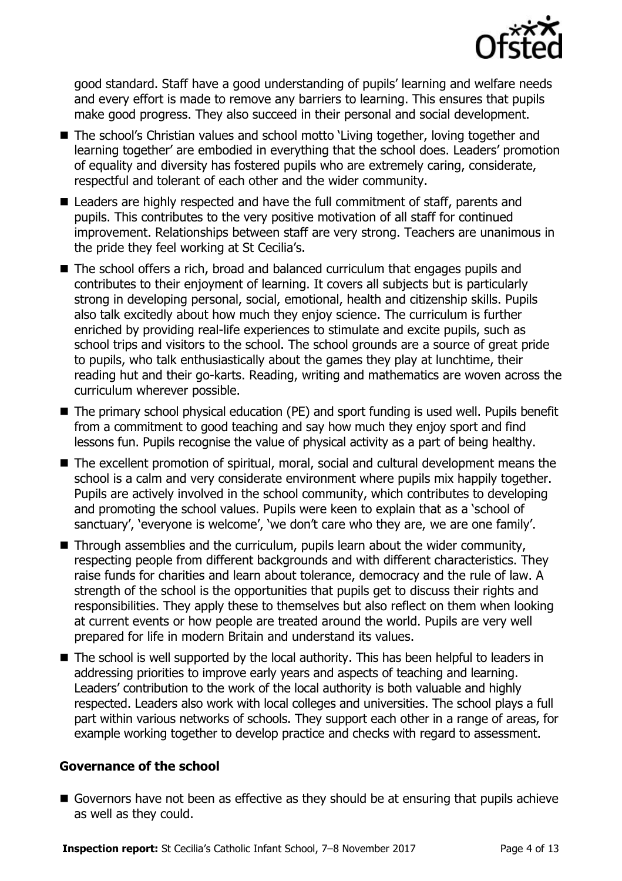

good standard. Staff have a good understanding of pupils' learning and welfare needs and every effort is made to remove any barriers to learning. This ensures that pupils make good progress. They also succeed in their personal and social development.

- The school's Christian values and school motto 'Living together, loving together and learning together' are embodied in everything that the school does. Leaders' promotion of equality and diversity has fostered pupils who are extremely caring, considerate, respectful and tolerant of each other and the wider community.
- Leaders are highly respected and have the full commitment of staff, parents and pupils. This contributes to the very positive motivation of all staff for continued improvement. Relationships between staff are very strong. Teachers are unanimous in the pride they feel working at St Cecilia's.
- The school offers a rich, broad and balanced curriculum that engages pupils and contributes to their enjoyment of learning. It covers all subjects but is particularly strong in developing personal, social, emotional, health and citizenship skills. Pupils also talk excitedly about how much they enjoy science. The curriculum is further enriched by providing real-life experiences to stimulate and excite pupils, such as school trips and visitors to the school. The school grounds are a source of great pride to pupils, who talk enthusiastically about the games they play at lunchtime, their reading hut and their go-karts. Reading, writing and mathematics are woven across the curriculum wherever possible.
- The primary school physical education (PE) and sport funding is used well. Pupils benefit from a commitment to good teaching and say how much they enjoy sport and find lessons fun. Pupils recognise the value of physical activity as a part of being healthy.
- The excellent promotion of spiritual, moral, social and cultural development means the school is a calm and very considerate environment where pupils mix happily together. Pupils are actively involved in the school community, which contributes to developing and promoting the school values. Pupils were keen to explain that as a 'school of sanctuary', 'everyone is welcome', 'we don't care who they are, we are one family'.
- Through assemblies and the curriculum, pupils learn about the wider community, respecting people from different backgrounds and with different characteristics. They raise funds for charities and learn about tolerance, democracy and the rule of law. A strength of the school is the opportunities that pupils get to discuss their rights and responsibilities. They apply these to themselves but also reflect on them when looking at current events or how people are treated around the world. Pupils are very well prepared for life in modern Britain and understand its values.
- The school is well supported by the local authority. This has been helpful to leaders in addressing priorities to improve early years and aspects of teaching and learning. Leaders' contribution to the work of the local authority is both valuable and highly respected. Leaders also work with local colleges and universities. The school plays a full part within various networks of schools. They support each other in a range of areas, for example working together to develop practice and checks with regard to assessment.

### **Governance of the school**

Governors have not been as effective as they should be at ensuring that pupils achieve as well as they could.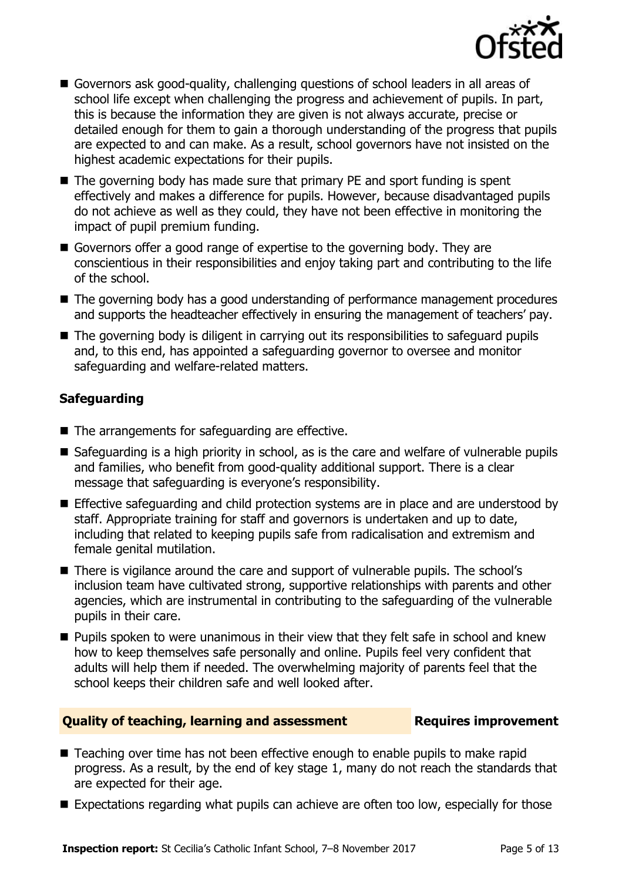

- Governors ask good-quality, challenging questions of school leaders in all areas of school life except when challenging the progress and achievement of pupils. In part, this is because the information they are given is not always accurate, precise or detailed enough for them to gain a thorough understanding of the progress that pupils are expected to and can make. As a result, school governors have not insisted on the highest academic expectations for their pupils.
- $\blacksquare$  The governing body has made sure that primary PE and sport funding is spent effectively and makes a difference for pupils. However, because disadvantaged pupils do not achieve as well as they could, they have not been effective in monitoring the impact of pupil premium funding.
- Governors offer a good range of expertise to the governing body. They are conscientious in their responsibilities and enjoy taking part and contributing to the life of the school.
- The governing body has a good understanding of performance management procedures and supports the headteacher effectively in ensuring the management of teachers' pay.
- The governing body is diligent in carrying out its responsibilities to safeguard pupils and, to this end, has appointed a safeguarding governor to oversee and monitor safeguarding and welfare-related matters.

# **Safeguarding**

- The arrangements for safeguarding are effective.
- Safeguarding is a high priority in school, as is the care and welfare of vulnerable pupils and families, who benefit from good-quality additional support. There is a clear message that safeguarding is everyone's responsibility.
- **E** Effective safeguarding and child protection systems are in place and are understood by staff. Appropriate training for staff and governors is undertaken and up to date, including that related to keeping pupils safe from radicalisation and extremism and female genital mutilation.
- There is vigilance around the care and support of vulnerable pupils. The school's inclusion team have cultivated strong, supportive relationships with parents and other agencies, which are instrumental in contributing to the safeguarding of the vulnerable pupils in their care.
- **Pupils spoken to were unanimous in their view that they felt safe in school and knew** how to keep themselves safe personally and online. Pupils feel very confident that adults will help them if needed. The overwhelming majority of parents feel that the school keeps their children safe and well looked after.

## **Quality of teaching, learning and assessment France Requires improvement**

- Teaching over time has not been effective enough to enable pupils to make rapid progress. As a result, by the end of key stage 1, many do not reach the standards that are expected for their age.
- Expectations regarding what pupils can achieve are often too low, especially for those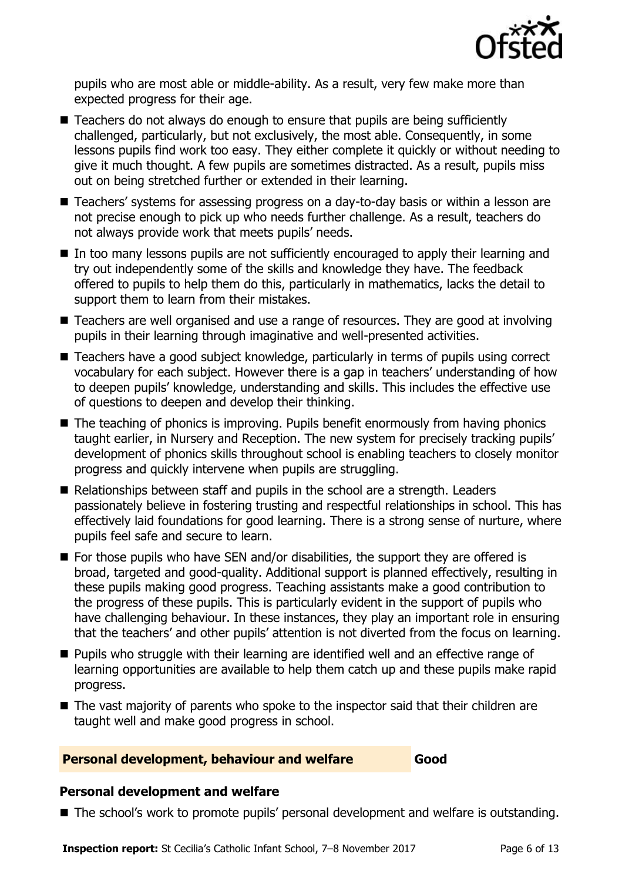

pupils who are most able or middle-ability. As a result, very few make more than expected progress for their age.

- Teachers do not always do enough to ensure that pupils are being sufficiently challenged, particularly, but not exclusively, the most able. Consequently, in some lessons pupils find work too easy. They either complete it quickly or without needing to give it much thought. A few pupils are sometimes distracted. As a result, pupils miss out on being stretched further or extended in their learning.
- Teachers' systems for assessing progress on a day-to-day basis or within a lesson are not precise enough to pick up who needs further challenge. As a result, teachers do not always provide work that meets pupils' needs.
- In too many lessons pupils are not sufficiently encouraged to apply their learning and try out independently some of the skills and knowledge they have. The feedback offered to pupils to help them do this, particularly in mathematics, lacks the detail to support them to learn from their mistakes.
- Teachers are well organised and use a range of resources. They are good at involving pupils in their learning through imaginative and well-presented activities.
- Teachers have a good subject knowledge, particularly in terms of pupils using correct vocabulary for each subject. However there is a gap in teachers' understanding of how to deepen pupils' knowledge, understanding and skills. This includes the effective use of questions to deepen and develop their thinking.
- The teaching of phonics is improving. Pupils benefit enormously from having phonics taught earlier, in Nursery and Reception. The new system for precisely tracking pupils' development of phonics skills throughout school is enabling teachers to closely monitor progress and quickly intervene when pupils are struggling.
- Relationships between staff and pupils in the school are a strength. Leaders passionately believe in fostering trusting and respectful relationships in school. This has effectively laid foundations for good learning. There is a strong sense of nurture, where pupils feel safe and secure to learn.
- For those pupils who have SEN and/or disabilities, the support they are offered is broad, targeted and good-quality. Additional support is planned effectively, resulting in these pupils making good progress. Teaching assistants make a good contribution to the progress of these pupils. This is particularly evident in the support of pupils who have challenging behaviour. In these instances, they play an important role in ensuring that the teachers' and other pupils' attention is not diverted from the focus on learning.
- **Pupils who struggle with their learning are identified well and an effective range of** learning opportunities are available to help them catch up and these pupils make rapid progress.
- The vast majority of parents who spoke to the inspector said that their children are taught well and make good progress in school.

## **Personal development, behaviour and welfare Good**

## **Personal development and welfare**

■ The school's work to promote pupils' personal development and welfare is outstanding.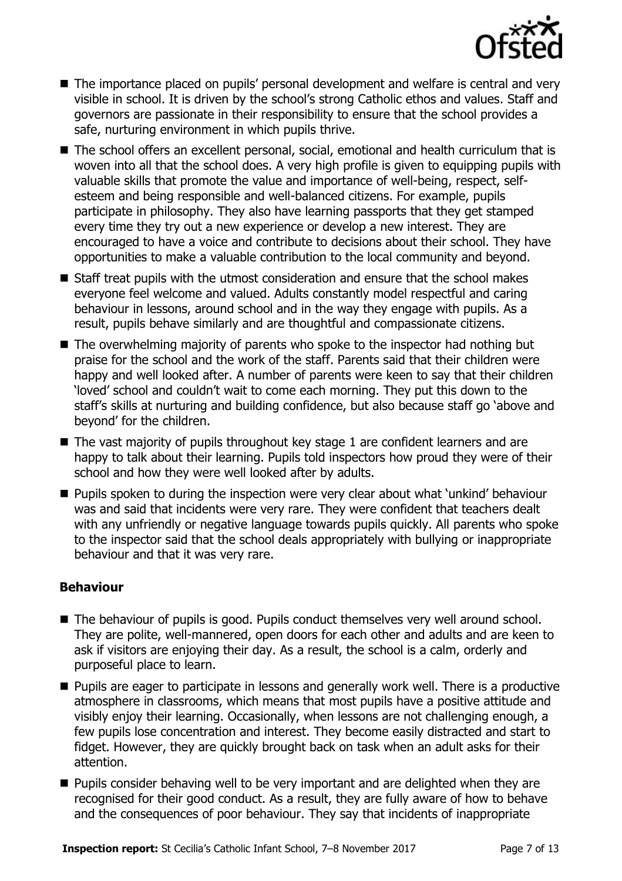

- The importance placed on pupils' personal development and welfare is central and very visible in school. It is driven by the school's strong Catholic ethos and values. Staff and governors are passionate in their responsibility to ensure that the school provides a safe, nurturing environment in which pupils thrive.
- The school offers an excellent personal, social, emotional and health curriculum that is woven into all that the school does. A very high profile is given to equipping pupils with valuable skills that promote the value and importance of well-being, respect, selfesteem and being responsible and well-balanced citizens. For example, pupils participate in philosophy. They also have learning passports that they get stamped every time they try out a new experience or develop a new interest. They are encouraged to have a voice and contribute to decisions about their school. They have opportunities to make a valuable contribution to the local community and beyond.
- Staff treat pupils with the utmost consideration and ensure that the school makes everyone feel welcome and valued. Adults constantly model respectful and caring behaviour in lessons, around school and in the way they engage with pupils. As a result, pupils behave similarly and are thoughtful and compassionate citizens.
- The overwhelming majority of parents who spoke to the inspector had nothing but praise for the school and the work of the staff. Parents said that their children were happy and well looked after. A number of parents were keen to say that their children 'loved' school and couldn't wait to come each morning. They put this down to the staff's skills at nurturing and building confidence, but also because staff go 'above and beyond' for the children.
- $\blacksquare$  The vast majority of pupils throughout key stage 1 are confident learners and are happy to talk about their learning. Pupils told inspectors how proud they were of their school and how they were well looked after by adults.
- **Pupils spoken to during the inspection were very clear about what 'unkind' behaviour** was and said that incidents were very rare. They were confident that teachers dealt with any unfriendly or negative language towards pupils quickly. All parents who spoke to the inspector said that the school deals appropriately with bullying or inappropriate behaviour and that it was very rare.

## **Behaviour**

- The behaviour of pupils is good. Pupils conduct themselves very well around school. They are polite, well-mannered, open doors for each other and adults and are keen to ask if visitors are enjoying their day. As a result, the school is a calm, orderly and purposeful place to learn.
- **Pupils are eager to participate in lessons and generally work well. There is a productive** atmosphere in classrooms, which means that most pupils have a positive attitude and visibly enjoy their learning. Occasionally, when lessons are not challenging enough, a few pupils lose concentration and interest. They become easily distracted and start to fidget. However, they are quickly brought back on task when an adult asks for their attention.
- **Pupils consider behaving well to be very important and are delighted when they are** recognised for their good conduct. As a result, they are fully aware of how to behave and the consequences of poor behaviour. They say that incidents of inappropriate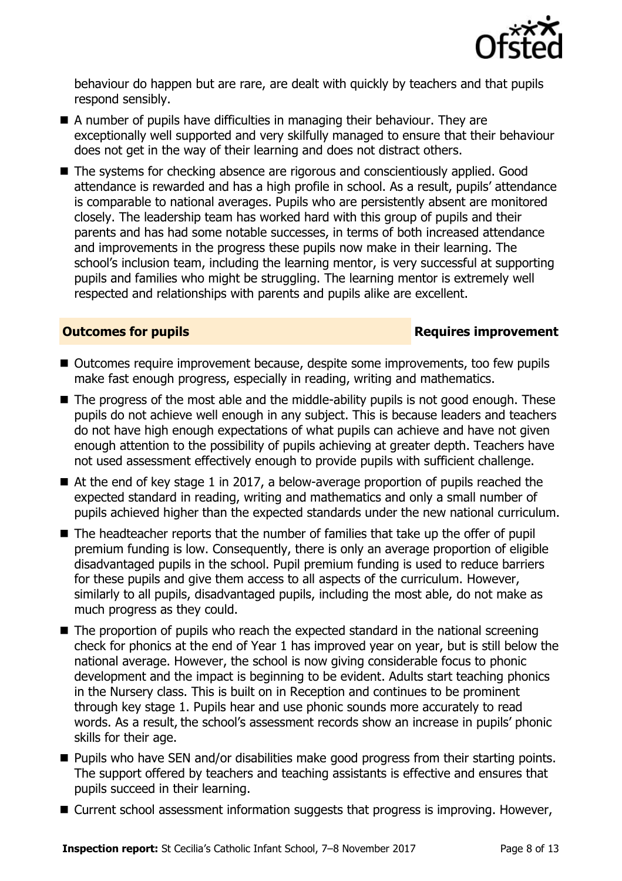

behaviour do happen but are rare, are dealt with quickly by teachers and that pupils respond sensibly.

- A number of pupils have difficulties in managing their behaviour. They are exceptionally well supported and very skilfully managed to ensure that their behaviour does not get in the way of their learning and does not distract others.
- The systems for checking absence are rigorous and conscientiously applied. Good attendance is rewarded and has a high profile in school. As a result, pupils' attendance is comparable to national averages. Pupils who are persistently absent are monitored closely. The leadership team has worked hard with this group of pupils and their parents and has had some notable successes, in terms of both increased attendance and improvements in the progress these pupils now make in their learning. The school's inclusion team, including the learning mentor, is very successful at supporting pupils and families who might be struggling. The learning mentor is extremely well respected and relationships with parents and pupils alike are excellent.

### **Outcomes for pupils Requires improvement**

- Outcomes require improvement because, despite some improvements, too few pupils make fast enough progress, especially in reading, writing and mathematics.
- The progress of the most able and the middle-ability pupils is not good enough. These pupils do not achieve well enough in any subject. This is because leaders and teachers do not have high enough expectations of what pupils can achieve and have not given enough attention to the possibility of pupils achieving at greater depth. Teachers have not used assessment effectively enough to provide pupils with sufficient challenge.
- At the end of key stage 1 in 2017, a below-average proportion of pupils reached the expected standard in reading, writing and mathematics and only a small number of pupils achieved higher than the expected standards under the new national curriculum.
- $\blacksquare$  The headteacher reports that the number of families that take up the offer of pupil premium funding is low. Consequently, there is only an average proportion of eligible disadvantaged pupils in the school. Pupil premium funding is used to reduce barriers for these pupils and give them access to all aspects of the curriculum. However, similarly to all pupils, disadvantaged pupils, including the most able, do not make as much progress as they could.
- The proportion of pupils who reach the expected standard in the national screening check for phonics at the end of Year 1 has improved year on year, but is still below the national average. However, the school is now giving considerable focus to phonic development and the impact is beginning to be evident. Adults start teaching phonics in the Nursery class. This is built on in Reception and continues to be prominent through key stage 1. Pupils hear and use phonic sounds more accurately to read words. As a result, the school's assessment records show an increase in pupils' phonic skills for their age.
- **Pupils who have SEN and/or disabilities make good progress from their starting points.** The support offered by teachers and teaching assistants is effective and ensures that pupils succeed in their learning.
- Current school assessment information suggests that progress is improving. However,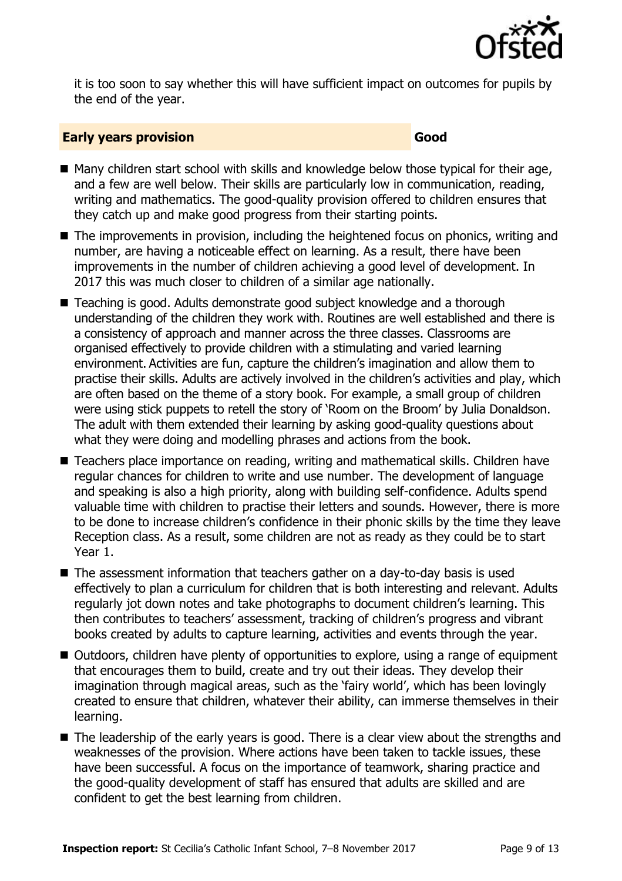

it is too soon to say whether this will have sufficient impact on outcomes for pupils by the end of the year.

### **Early years provision Good Good**

- $\blacksquare$  Many children start school with skills and knowledge below those typical for their age, and a few are well below. Their skills are particularly low in communication, reading, writing and mathematics. The good-quality provision offered to children ensures that they catch up and make good progress from their starting points.
- The improvements in provision, including the heightened focus on phonics, writing and number, are having a noticeable effect on learning. As a result, there have been improvements in the number of children achieving a good level of development. In 2017 this was much closer to children of a similar age nationally.
- Teaching is good. Adults demonstrate good subject knowledge and a thorough understanding of the children they work with. Routines are well established and there is a consistency of approach and manner across the three classes. Classrooms are organised effectively to provide children with a stimulating and varied learning environment. Activities are fun, capture the children's imagination and allow them to practise their skills. Adults are actively involved in the children's activities and play, which are often based on the theme of a story book. For example, a small group of children were using stick puppets to retell the story of 'Room on the Broom' by Julia Donaldson. The adult with them extended their learning by asking good-quality questions about what they were doing and modelling phrases and actions from the book.
- Teachers place importance on reading, writing and mathematical skills. Children have regular chances for children to write and use number. The development of language and speaking is also a high priority, along with building self-confidence. Adults spend valuable time with children to practise their letters and sounds. However, there is more to be done to increase children's confidence in their phonic skills by the time they leave Reception class. As a result, some children are not as ready as they could be to start Year 1.
- The assessment information that teachers gather on a day-to-day basis is used effectively to plan a curriculum for children that is both interesting and relevant. Adults regularly jot down notes and take photographs to document children's learning. This then contributes to teachers' assessment, tracking of children's progress and vibrant books created by adults to capture learning, activities and events through the year.
- Outdoors, children have plenty of opportunities to explore, using a range of equipment that encourages them to build, create and try out their ideas. They develop their imagination through magical areas, such as the 'fairy world', which has been lovingly created to ensure that children, whatever their ability, can immerse themselves in their learning.
- The leadership of the early years is good. There is a clear view about the strengths and weaknesses of the provision. Where actions have been taken to tackle issues, these have been successful. A focus on the importance of teamwork, sharing practice and the good-quality development of staff has ensured that adults are skilled and are confident to get the best learning from children.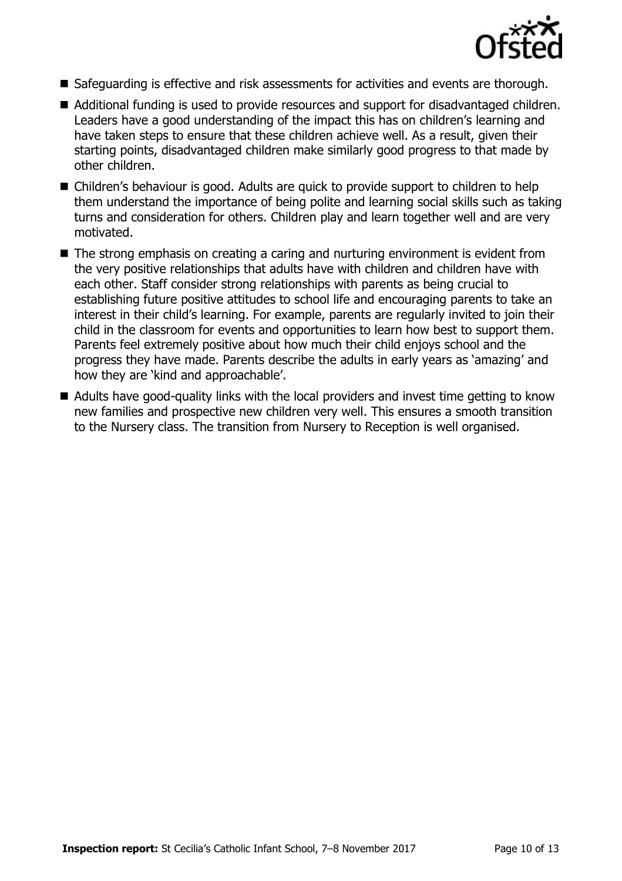

- Safeguarding is effective and risk assessments for activities and events are thorough.
- Additional funding is used to provide resources and support for disadvantaged children. Leaders have a good understanding of the impact this has on children's learning and have taken steps to ensure that these children achieve well. As a result, given their starting points, disadvantaged children make similarly good progress to that made by other children.
- Children's behaviour is good. Adults are quick to provide support to children to help them understand the importance of being polite and learning social skills such as taking turns and consideration for others. Children play and learn together well and are very motivated.
- The strong emphasis on creating a caring and nurturing environment is evident from the very positive relationships that adults have with children and children have with each other. Staff consider strong relationships with parents as being crucial to establishing future positive attitudes to school life and encouraging parents to take an interest in their child's learning. For example, parents are regularly invited to join their child in the classroom for events and opportunities to learn how best to support them. Parents feel extremely positive about how much their child enjoys school and the progress they have made. Parents describe the adults in early years as 'amazing' and how they are 'kind and approachable'.
- Adults have good-quality links with the local providers and invest time getting to know new families and prospective new children very well. This ensures a smooth transition to the Nursery class. The transition from Nursery to Reception is well organised.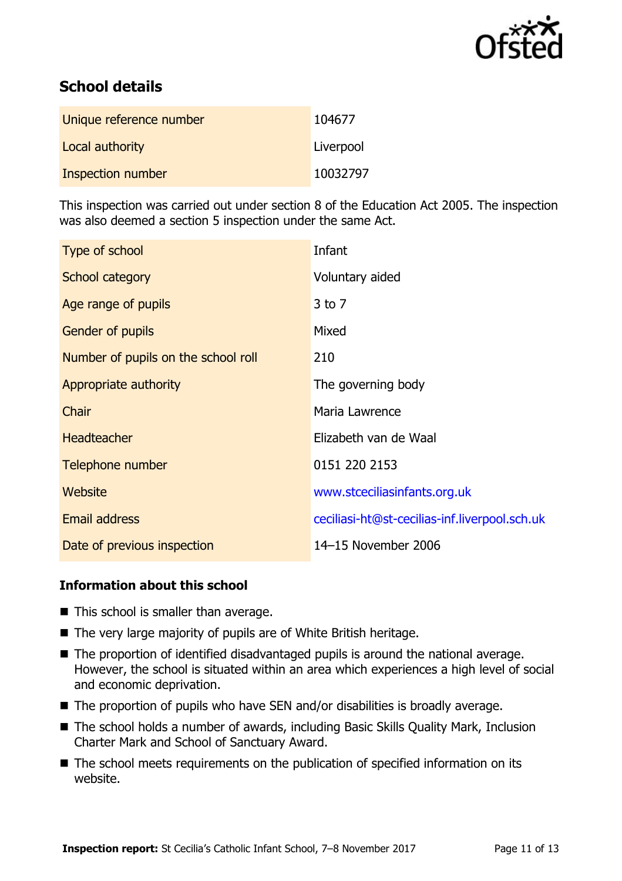

# **School details**

| Unique reference number | 104677    |
|-------------------------|-----------|
| Local authority         | Liverpool |
| Inspection number       | 10032797  |

This inspection was carried out under section 8 of the Education Act 2005. The inspection was also deemed a section 5 inspection under the same Act.

| Type of school                      | Infant                                        |  |
|-------------------------------------|-----------------------------------------------|--|
| School category                     | Voluntary aided                               |  |
| Age range of pupils                 | $3$ to $7$                                    |  |
| <b>Gender of pupils</b>             | Mixed                                         |  |
| Number of pupils on the school roll | 210                                           |  |
| Appropriate authority               | The governing body                            |  |
| Chair                               | Maria Lawrence                                |  |
| <b>Headteacher</b>                  | Elizabeth van de Waal                         |  |
| Telephone number                    | 0151 220 2153                                 |  |
| Website                             | www.stceciliasinfants.org.uk                  |  |
| <b>Email address</b>                | ceciliasi-ht@st-cecilias-inf.liverpool.sch.uk |  |
| Date of previous inspection         | 14-15 November 2006                           |  |

### **Information about this school**

- $\blacksquare$  This school is smaller than average.
- The very large majority of pupils are of White British heritage.
- The proportion of identified disadvantaged pupils is around the national average. However, the school is situated within an area which experiences a high level of social and economic deprivation.
- The proportion of pupils who have SEN and/or disabilities is broadly average.
- The school holds a number of awards, including Basic Skills Quality Mark, Inclusion Charter Mark and School of Sanctuary Award.
- The school meets requirements on the publication of specified information on its website.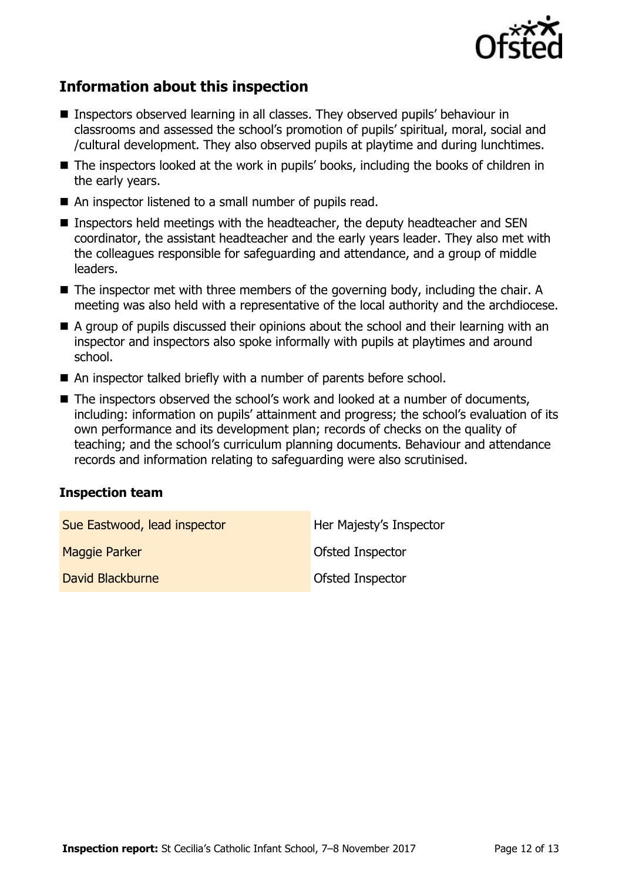

# **Information about this inspection**

- Inspectors observed learning in all classes. They observed pupils' behaviour in classrooms and assessed the school's promotion of pupils' spiritual, moral, social and /cultural development. They also observed pupils at playtime and during lunchtimes.
- The inspectors looked at the work in pupils' books, including the books of children in the early years.
- An inspector listened to a small number of pupils read.
- Inspectors held meetings with the headteacher, the deputy headteacher and SEN coordinator, the assistant headteacher and the early years leader. They also met with the colleagues responsible for safeguarding and attendance, and a group of middle leaders.
- The inspector met with three members of the governing body, including the chair. A meeting was also held with a representative of the local authority and the archdiocese.
- A group of pupils discussed their opinions about the school and their learning with an inspector and inspectors also spoke informally with pupils at playtimes and around school.
- An inspector talked briefly with a number of parents before school.
- The inspectors observed the school's work and looked at a number of documents, including: information on pupils' attainment and progress; the school's evaluation of its own performance and its development plan; records of checks on the quality of teaching; and the school's curriculum planning documents. Behaviour and attendance records and information relating to safeguarding were also scrutinised.

### **Inspection team**

| Sue Eastwood, lead inspector | Her Majesty's Inspector |
|------------------------------|-------------------------|
| Maggie Parker                | Ofsted Inspector        |
| David Blackburne             | <b>Ofsted Inspector</b> |